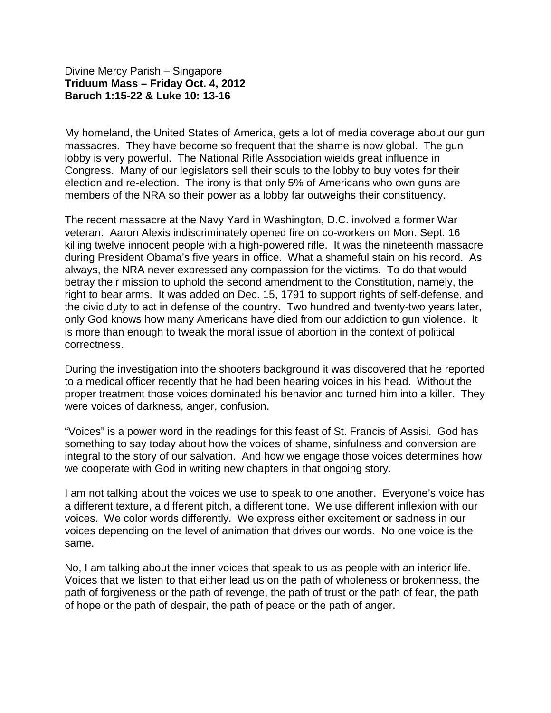## Divine Mercy Parish – Singapore **Triduum Mass – Friday Oct. 4, 2012 Baruch 1:15-22 & Luke 10: 13-16**

My homeland, the United States of America, gets a lot of media coverage about our gun massacres. They have become so frequent that the shame is now global. The gun lobby is very powerful. The National Rifle Association wields great influence in Congress. Many of our legislators sell their souls to the lobby to buy votes for their election and re-election. The irony is that only 5% of Americans who own guns are members of the NRA so their power as a lobby far outweighs their constituency.

The recent massacre at the Navy Yard in Washington, D.C. involved a former War veteran. Aaron Alexis indiscriminately opened fire on co-workers on Mon. Sept. 16 killing twelve innocent people with a high-powered rifle. It was the nineteenth massacre during President Obama's five years in office. What a shameful stain on his record. As always, the NRA never expressed any compassion for the victims. To do that would betray their mission to uphold the second amendment to the Constitution, namely, the right to bear arms. It was added on Dec. 15, 1791 to support rights of self-defense, and the civic duty to act in defense of the country. Two hundred and twenty-two years later, only God knows how many Americans have died from our addiction to gun violence. It is more than enough to tweak the moral issue of abortion in the context of political correctness.

During the investigation into the shooters background it was discovered that he reported to a medical officer recently that he had been hearing voices in his head. Without the proper treatment those voices dominated his behavior and turned him into a killer. They were voices of darkness, anger, confusion.

"Voices" is a power word in the readings for this feast of St. Francis of Assisi. God has something to say today about how the voices of shame, sinfulness and conversion are integral to the story of our salvation. And how we engage those voices determines how we cooperate with God in writing new chapters in that ongoing story.

I am not talking about the voices we use to speak to one another. Everyone's voice has a different texture, a different pitch, a different tone. We use different inflexion with our voices. We color words differently. We express either excitement or sadness in our voices depending on the level of animation that drives our words. No one voice is the same.

No, I am talking about the inner voices that speak to us as people with an interior life. Voices that we listen to that either lead us on the path of wholeness or brokenness, the path of forgiveness or the path of revenge, the path of trust or the path of fear, the path of hope or the path of despair, the path of peace or the path of anger.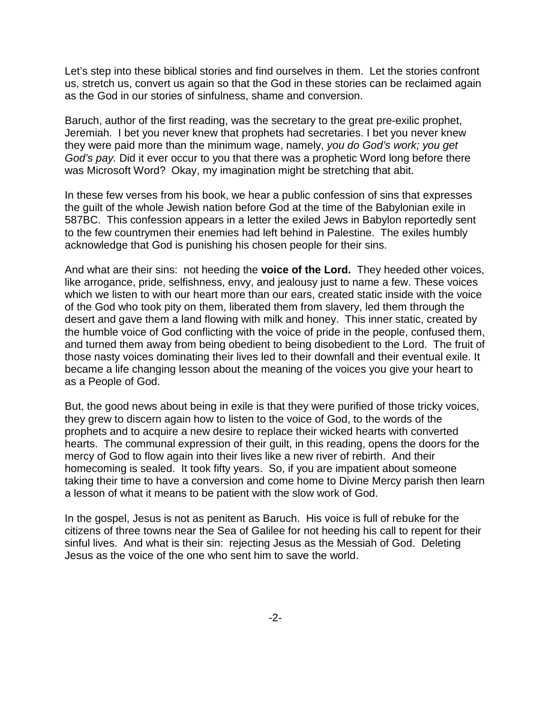Let's step into these biblical stories and find ourselves in them. Let the stories confront us, stretch us, convert us again so that the God in these stories can be reclaimed again as the God in our stories of sinfulness, shame and conversion.

Baruch, author of the first reading, was the secretary to the great pre-exilic prophet, Jeremiah. I bet you never knew that prophets had secretaries. I bet you never knew they were paid more than the minimum wage, namely, *you do God's work; you get God's pay.* Did it ever occur to you that there was a prophetic Word long before there was Microsoft Word? Okay, my imagination might be stretching that abit.

In these few verses from his book, we hear a public confession of sins that expresses the guilt of the whole Jewish nation before God at the time of the Babylonian exile in 587BC. This confession appears in a letter the exiled Jews in Babylon reportedly sent to the few countrymen their enemies had left behind in Palestine. The exiles humbly acknowledge that God is punishing his chosen people for their sins.

And what are their sins: not heeding the **voice of the Lord.** They heeded other voices, like arrogance, pride, selfishness, envy, and jealousy just to name a few. These voices which we listen to with our heart more than our ears, created static inside with the voice of the God who took pity on them, liberated them from slavery, led them through the desert and gave them a land flowing with milk and honey. This inner static, created by the humble voice of God conflicting with the voice of pride in the people, confused them, and turned them away from being obedient to being disobedient to the Lord. The fruit of those nasty voices dominating their lives led to their downfall and their eventual exile. It became a life changing lesson about the meaning of the voices you give your heart to as a People of God.

But, the good news about being in exile is that they were purified of those tricky voices, they grew to discern again how to listen to the voice of God, to the words of the prophets and to acquire a new desire to replace their wicked hearts with converted hearts. The communal expression of their guilt, in this reading, opens the doors for the mercy of God to flow again into their lives like a new river of rebirth. And their homecoming is sealed. It took fifty years. So, if you are impatient about someone taking their time to have a conversion and come home to Divine Mercy parish then learn a lesson of what it means to be patient with the slow work of God.

In the gospel, Jesus is not as penitent as Baruch. His voice is full of rebuke for the citizens of three towns near the Sea of Galilee for not heeding his call to repent for their sinful lives. And what is their sin: rejecting Jesus as the Messiah of God. Deleting Jesus as the voice of the one who sent him to save the world.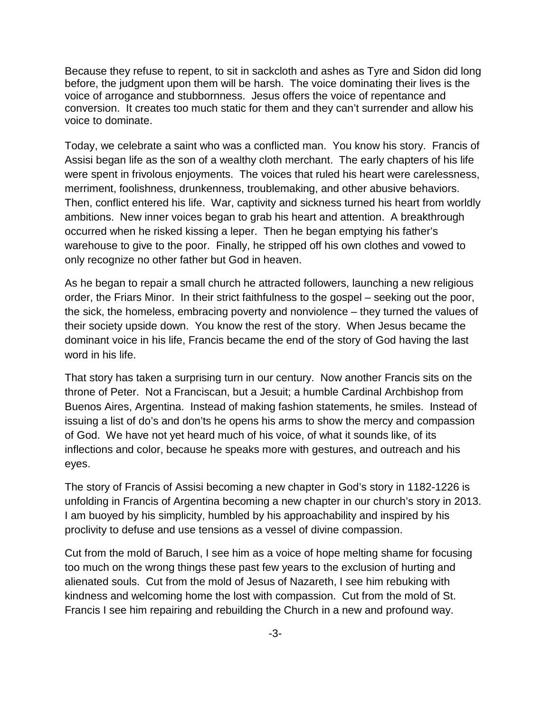Because they refuse to repent, to sit in sackcloth and ashes as Tyre and Sidon did long before, the judgment upon them will be harsh. The voice dominating their lives is the voice of arrogance and stubbornness. Jesus offers the voice of repentance and conversion. It creates too much static for them and they can't surrender and allow his voice to dominate.

Today, we celebrate a saint who was a conflicted man. You know his story. Francis of Assisi began life as the son of a wealthy cloth merchant. The early chapters of his life were spent in frivolous enjoyments. The voices that ruled his heart were carelessness, merriment, foolishness, drunkenness, troublemaking, and other abusive behaviors. Then, conflict entered his life. War, captivity and sickness turned his heart from worldly ambitions. New inner voices began to grab his heart and attention. A breakthrough occurred when he risked kissing a leper. Then he began emptying his father's warehouse to give to the poor. Finally, he stripped off his own clothes and vowed to only recognize no other father but God in heaven.

As he began to repair a small church he attracted followers, launching a new religious order, the Friars Minor. In their strict faithfulness to the gospel – seeking out the poor, the sick, the homeless, embracing poverty and nonviolence – they turned the values of their society upside down. You know the rest of the story. When Jesus became the dominant voice in his life, Francis became the end of the story of God having the last word in his life.

That story has taken a surprising turn in our century. Now another Francis sits on the throne of Peter. Not a Franciscan, but a Jesuit; a humble Cardinal Archbishop from Buenos Aires, Argentina. Instead of making fashion statements, he smiles. Instead of issuing a list of do's and don'ts he opens his arms to show the mercy and compassion of God. We have not yet heard much of his voice, of what it sounds like, of its inflections and color, because he speaks more with gestures, and outreach and his eyes.

The story of Francis of Assisi becoming a new chapter in God's story in 1182-1226 is unfolding in Francis of Argentina becoming a new chapter in our church's story in 2013. I am buoyed by his simplicity, humbled by his approachability and inspired by his proclivity to defuse and use tensions as a vessel of divine compassion.

Cut from the mold of Baruch, I see him as a voice of hope melting shame for focusing too much on the wrong things these past few years to the exclusion of hurting and alienated souls. Cut from the mold of Jesus of Nazareth, I see him rebuking with kindness and welcoming home the lost with compassion. Cut from the mold of St. Francis I see him repairing and rebuilding the Church in a new and profound way.